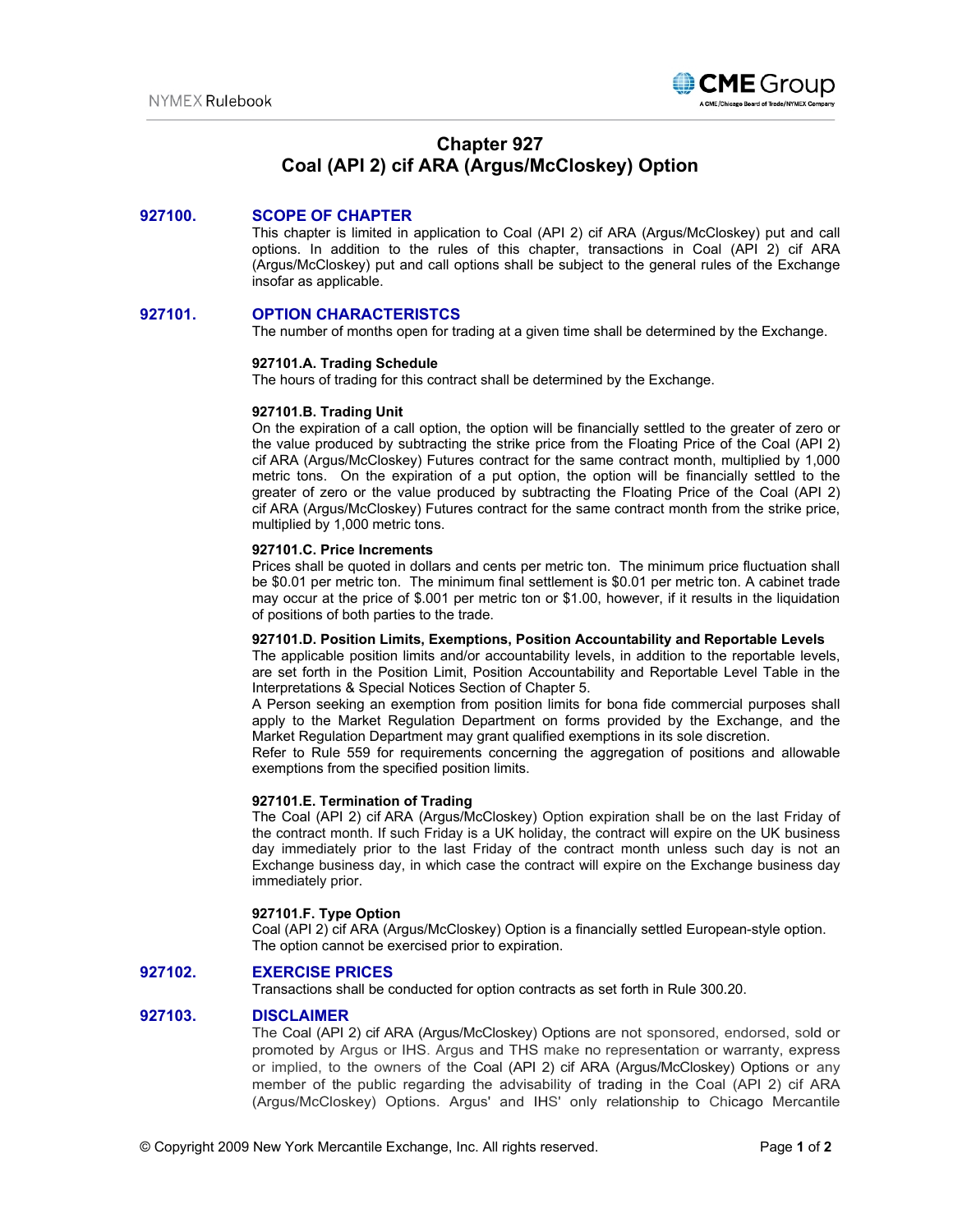

# **Chapter 927 Coal (API 2) cif ARA (Argus/McCloskey) Option**

# **927100. SCOPE OF CHAPTER**

This chapter is limited in application to Coal (API 2) cif ARA (Argus/McCloskey) put and call options. In addition to the rules of this chapter, transactions in Coal (API 2) cif ARA (Argus/McCloskey) put and call options shall be subject to the general rules of the Exchange insofar as applicable.

# **927101. OPTION CHARACTERISTCS**

The number of months open for trading at a given time shall be determined by the Exchange.

## **927101.A. Trading Schedule**

The hours of trading for this contract shall be determined by the Exchange.

## **927101.B. Trading Unit**

On the expiration of a call option, the option will be financially settled to the greater of zero or the value produced by subtracting the strike price from the Floating Price of the Coal (API 2) cif ARA (Argus/McCloskey) Futures contract for the same contract month, multiplied by 1,000 metric tons. On the expiration of a put option, the option will be financially settled to the greater of zero or the value produced by subtracting the Floating Price of the Coal (API 2) cif ARA (Argus/McCloskey) Futures contract for the same contract month from the strike price, multiplied by 1,000 metric tons.

#### **927101.C. Price Increments**

Prices shall be quoted in dollars and cents per metric ton. The minimum price fluctuation shall be \$0.01 per metric ton. The minimum final settlement is \$0.01 per metric ton. A cabinet trade may occur at the price of \$.001 per metric ton or \$1.00, however, if it results in the liquidation of positions of both parties to the trade.

# **927101.D. Position Limits, Exemptions, Position Accountability and Reportable Levels**

The applicable position limits and/or accountability levels, in addition to the reportable levels, are set forth in the Position Limit, Position Accountability and Reportable Level Table in the Interpretations & Special Notices Section of Chapter 5.

A Person seeking an exemption from position limits for bona fide commercial purposes shall apply to the Market Regulation Department on forms provided by the Exchange, and the Market Regulation Department may grant qualified exemptions in its sole discretion.

Refer to Rule 559 for requirements concerning the aggregation of positions and allowable exemptions from the specified position limits.

#### **927101.E. Termination of Trading**

The Coal (API 2) cif ARA (Argus/McCloskey) Option expiration shall be on the last Friday of the contract month. If such Friday is a UK holiday, the contract will expire on the UK business day immediately prior to the last Friday of the contract month unless such day is not an Exchange business day, in which case the contract will expire on the Exchange business day immediately prior.

# **927101.F. Type Option**

Coal (API 2) cif ARA (Argus/McCloskey) Option is a financially settled European-style option. The option cannot be exercised prior to expiration.

# **927102. EXERCISE PRICES**

Transactions shall be conducted for option contracts as set forth in Rule 300.20.

# **927103. DISCLAIMER**

The Coal (API 2) cif ARA (Argus/McCloskey) Options are not sponsored, endorsed, sold or promoted by Argus or IHS. Argus and THS make no representation or warranty, express or implied, to the owners of the Coal (API 2) cif ARA (Argus/McCloskey) Options or any member of the public regarding the advisability of trading in the Coal (API 2) cif ARA (Argus/McCloskey) Options. Argus' and IHS' only relationship to Chicago Mercantile